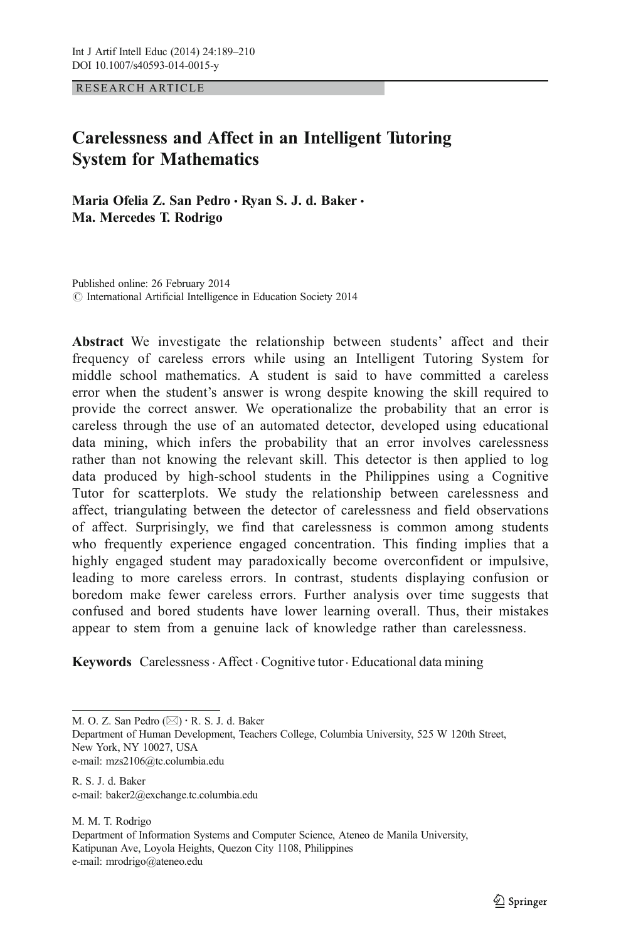RESEARCH ARTICLE

# Carelessness and Affect in an Intelligent Tutoring System for Mathematics

Maria Ofelia Z. San Pedro · Ryan S. J. d. Baker · Ma. Mercedes T. Rodrigo

Published online: 26 February 2014  $\odot$  International Artificial Intelligence in Education Society 2014

Abstract We investigate the relationship between students' affect and their frequency of careless errors while using an Intelligent Tutoring System for middle school mathematics. A student is said to have committed a careless error when the student's answer is wrong despite knowing the skill required to provide the correct answer. We operationalize the probability that an error is careless through the use of an automated detector, developed using educational data mining, which infers the probability that an error involves carelessness rather than not knowing the relevant skill. This detector is then applied to log data produced by high-school students in the Philippines using a Cognitive Tutor for scatterplots. We study the relationship between carelessness and affect, triangulating between the detector of carelessness and field observations of affect. Surprisingly, we find that carelessness is common among students who frequently experience engaged concentration. This finding implies that a highly engaged student may paradoxically become overconfident or impulsive, leading to more careless errors. In contrast, students displaying confusion or boredom make fewer careless errors. Further analysis over time suggests that confused and bored students have lower learning overall. Thus, their mistakes appear to stem from a genuine lack of knowledge rather than carelessness.

Keywords Carelessness · Affect · Cognitive tutor · Educational data mining

Department of Human Development, Teachers College, Columbia University, 525 W 120th Street, New York, NY 10027, USA e-mail: mzs2106@tc.columbia.edu

R. S. J. d. Baker e-mail: baker2@exchange.tc.columbia.edu

M. M. T. Rodrigo Department of Information Systems and Computer Science, Ateneo de Manila University, Katipunan Ave, Loyola Heights, Quezon City 1108, Philippines e-mail: mrodrigo@ateneo.edu

M. O. Z. San Pedro  $(\boxtimes) \cdot R$ . S. J. d. Baker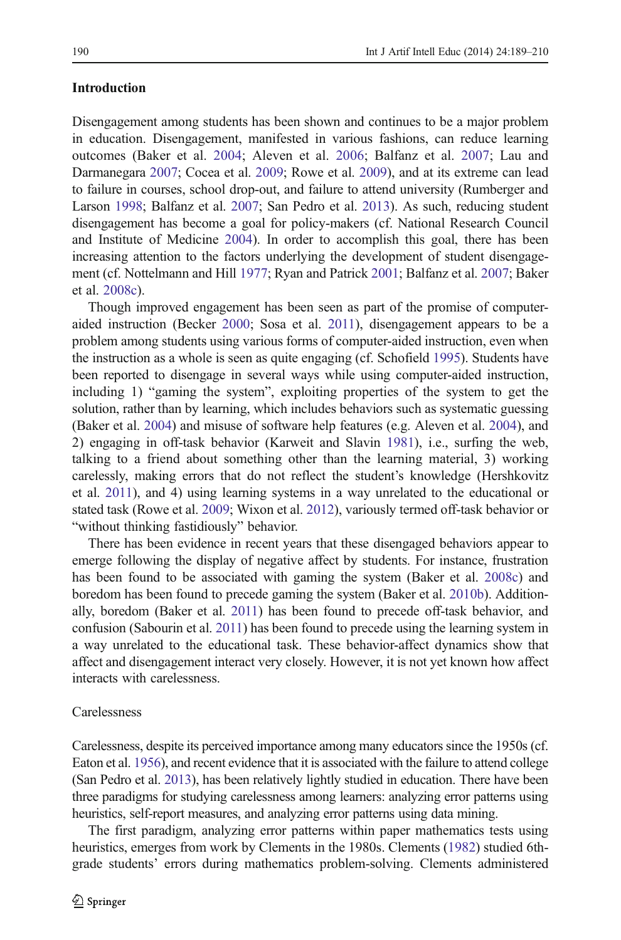#### Introduction

Disengagement among students has been shown and continues to be a major problem in education. Disengagement, manifested in various fashions, can reduce learning outcomes (Baker et al. [2004](#page-18-0); Aleven et al. [2006;](#page-18-0) Balfanz et al. [2007;](#page-18-0) Lau and Darmanegara [2007;](#page-20-0) Cocea et al. [2009;](#page-19-0) Rowe et al. [2009\)](#page-21-0), and at its extreme can lead to failure in courses, school drop-out, and failure to attend university (Rumberger and Larson [1998;](#page-21-0) Balfanz et al. [2007](#page-18-0); San Pedro et al. [2013](#page-21-0)). As such, reducing student disengagement has become a goal for policy-makers (cf. National Research Council and Institute of Medicine [2004\)](#page-20-0). In order to accomplish this goal, there has been increasing attention to the factors underlying the development of student disengagement (cf. Nottelmann and Hill [1977](#page-20-0); Ryan and Patrick [2001](#page-21-0); Balfanz et al. [2007](#page-18-0); Baker et al. [2008c\)](#page-18-0).

Though improved engagement has been seen as part of the promise of computeraided instruction (Becker [2000;](#page-18-0) Sosa et al. [2011](#page-21-0)), disengagement appears to be a problem among students using various forms of computer-aided instruction, even when the instruction as a whole is seen as quite engaging (cf. Schofield [1995](#page-21-0)). Students have been reported to disengage in several ways while using computer-aided instruction, including 1) "gaming the system", exploiting properties of the system to get the solution, rather than by learning, which includes behaviors such as systematic guessing (Baker et al. [2004\)](#page-18-0) and misuse of software help features (e.g. Aleven et al. [2004\)](#page-18-0), and 2) engaging in off-task behavior (Karweit and Slavin [1981](#page-20-0)), i.e., surfing the web, talking to a friend about something other than the learning material, 3) working carelessly, making errors that do not reflect the student's knowledge (Hershkovitz et al. [2011\)](#page-19-0), and 4) using learning systems in a way unrelated to the educational or stated task (Rowe et al. [2009](#page-21-0); Wixon et al. [2012\)](#page-21-0), variously termed off-task behavior or "without thinking fastidiously" behavior.

There has been evidence in recent years that these disengaged behaviors appear to emerge following the display of negative affect by students. For instance, frustration has been found to be associated with gaming the system (Baker et al. [2008c\)](#page-18-0) and boredom has been found to precede gaming the system (Baker et al. [2010b\)](#page-18-0). Additionally, boredom (Baker et al. [2011\)](#page-18-0) has been found to precede off-task behavior, and confusion (Sabourin et al. [2011\)](#page-21-0) has been found to precede using the learning system in a way unrelated to the educational task. These behavior-affect dynamics show that affect and disengagement interact very closely. However, it is not yet known how affect interacts with carelessness.

# Carelessness

Carelessness, despite its perceived importance among many educators since the 1950s (cf. Eaton et al. [1956\)](#page-19-0), and recent evidence that it is associated with the failure to attend college (San Pedro et al. [2013\)](#page-21-0), has been relatively lightly studied in education. There have been three paradigms for studying carelessness among learners: analyzing error patterns using heuristics, self-report measures, and analyzing error patterns using data mining.

The first paradigm, analyzing error patterns within paper mathematics tests using heuristics, emerges from work by Clements in the 1980s. Clements [\(1982\)](#page-18-0) studied 6thgrade students' errors during mathematics problem-solving. Clements administered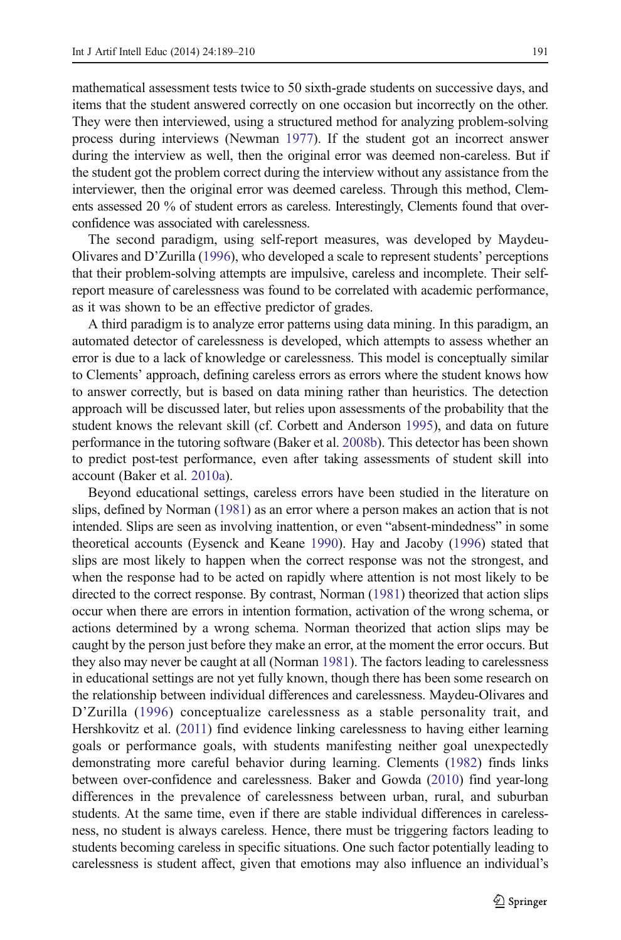mathematical assessment tests twice to 50 sixth-grade students on successive days, and items that the student answered correctly on one occasion but incorrectly on the other. They were then interviewed, using a structured method for analyzing problem-solving process during interviews (Newman [1977\)](#page-20-0). If the student got an incorrect answer during the interview as well, then the original error was deemed non-careless. But if the student got the problem correct during the interview without any assistance from the interviewer, then the original error was deemed careless. Through this method, Clements assessed 20 % of student errors as careless. Interestingly, Clements found that overconfidence was associated with carelessness.

The second paradigm, using self-report measures, was developed by Maydeu-Olivares and D'Zurilla ([1996](#page-20-0)), who developed a scale to represent students' perceptions that their problem-solving attempts are impulsive, careless and incomplete. Their selfreport measure of carelessness was found to be correlated with academic performance, as it was shown to be an effective predictor of grades.

A third paradigm is to analyze error patterns using data mining. In this paradigm, an automated detector of carelessness is developed, which attempts to assess whether an error is due to a lack of knowledge or carelessness. This model is conceptually similar to Clements' approach, defining careless errors as errors where the student knows how to answer correctly, but is based on data mining rather than heuristics. The detection approach will be discussed later, but relies upon assessments of the probability that the student knows the relevant skill (cf. Corbett and Anderson [1995\)](#page-19-0), and data on future performance in the tutoring software (Baker et al. [2008b\)](#page-18-0). This detector has been shown to predict post-test performance, even after taking assessments of student skill into account (Baker et al. [2010a](#page-18-0)).

Beyond educational settings, careless errors have been studied in the literature on slips, defined by Norman [\(1981\)](#page-20-0) as an error where a person makes an action that is not intended. Slips are seen as involving inattention, or even "absent-mindedness" in some theoretical accounts (Eysenck and Keane [1990](#page-19-0)). Hay and Jacoby [\(1996](#page-19-0)) stated that slips are most likely to happen when the correct response was not the strongest, and when the response had to be acted on rapidly where attention is not most likely to be directed to the correct response. By contrast, Norman ([1981](#page-20-0)) theorized that action slips occur when there are errors in intention formation, activation of the wrong schema, or actions determined by a wrong schema. Norman theorized that action slips may be caught by the person just before they make an error, at the moment the error occurs. But they also may never be caught at all (Norman [1981\)](#page-20-0). The factors leading to carelessness in educational settings are not yet fully known, though there has been some research on the relationship between individual differences and carelessness. Maydeu-Olivares and D'Zurilla ([1996](#page-20-0)) conceptualize carelessness as a stable personality trait, and Hershkovitz et al. ([2011\)](#page-19-0) find evidence linking carelessness to having either learning goals or performance goals, with students manifesting neither goal unexpectedly demonstrating more careful behavior during learning. Clements [\(1982\)](#page-18-0) finds links between over-confidence and carelessness. Baker and Gowda [\(2010\)](#page-18-0) find year-long differences in the prevalence of carelessness between urban, rural, and suburban students. At the same time, even if there are stable individual differences in carelessness, no student is always careless. Hence, there must be triggering factors leading to students becoming careless in specific situations. One such factor potentially leading to carelessness is student affect, given that emotions may also influence an individual's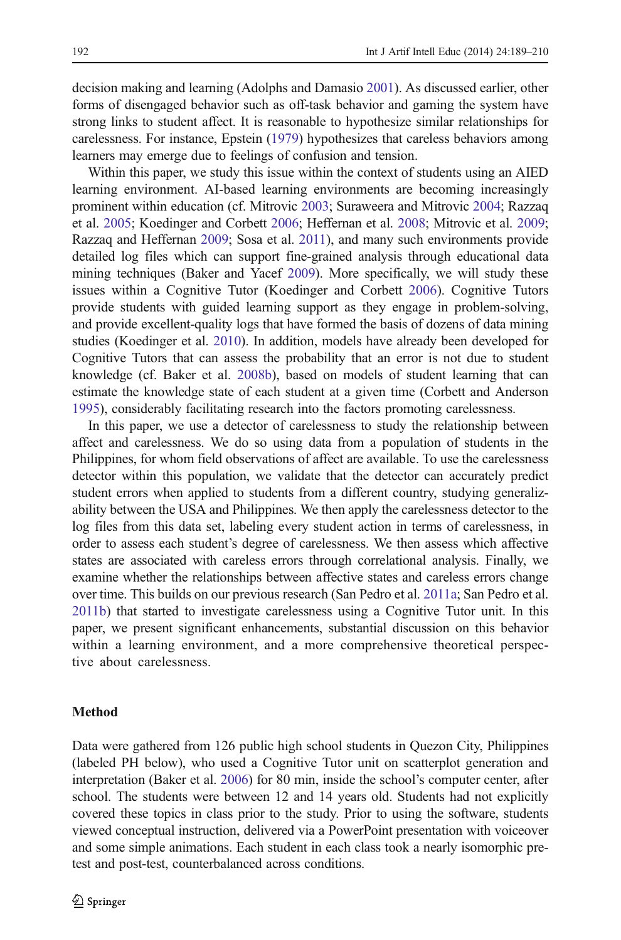decision making and learning (Adolphs and Damasio [2001](#page-18-0)). As discussed earlier, other forms of disengaged behavior such as off-task behavior and gaming the system have strong links to student affect. It is reasonable to hypothesize similar relationships for carelessness. For instance, Epstein ([1979](#page-19-0)) hypothesizes that careless behaviors among learners may emerge due to feelings of confusion and tension.

Within this paper, we study this issue within the context of students using an AIED learning environment. AI-based learning environments are becoming increasingly prominent within education (cf. Mitrovic [2003;](#page-20-0) Suraweera and Mitrovic [2004](#page-21-0); Razzaq et al. [2005;](#page-20-0) Koedinger and Corbett [2006](#page-20-0); Heffernan et al. [2008](#page-19-0); Mitrovic et al. [2009;](#page-20-0) Razzaq and Heffernan [2009;](#page-20-0) Sosa et al. [2011\)](#page-21-0), and many such environments provide detailed log files which can support fine-grained analysis through educational data mining techniques (Baker and Yacef [2009](#page-18-0)). More specifically, we will study these issues within a Cognitive Tutor (Koedinger and Corbett [2006](#page-20-0)). Cognitive Tutors provide students with guided learning support as they engage in problem-solving, and provide excellent-quality logs that have formed the basis of dozens of data mining studies (Koedinger et al. [2010\)](#page-20-0). In addition, models have already been developed for Cognitive Tutors that can assess the probability that an error is not due to student knowledge (cf. Baker et al. [2008b](#page-18-0)), based on models of student learning that can estimate the knowledge state of each student at a given time (Corbett and Anderson [1995\)](#page-19-0), considerably facilitating research into the factors promoting carelessness.

In this paper, we use a detector of carelessness to study the relationship between affect and carelessness. We do so using data from a population of students in the Philippines, for whom field observations of affect are available. To use the carelessness detector within this population, we validate that the detector can accurately predict student errors when applied to students from a different country, studying generalizability between the USA and Philippines. We then apply the carelessness detector to the log files from this data set, labeling every student action in terms of carelessness, in order to assess each student's degree of carelessness. We then assess which affective states are associated with careless errors through correlational analysis. Finally, we examine whether the relationships between affective states and careless errors change over time. This builds on our previous research (San Pedro et al. [2011a](#page-21-0); San Pedro et al. [2011b](#page-21-0)) that started to investigate carelessness using a Cognitive Tutor unit. In this paper, we present significant enhancements, substantial discussion on this behavior within a learning environment, and a more comprehensive theoretical perspective about carelessness.

## **Method**

Data were gathered from 126 public high school students in Quezon City, Philippines (labeled PH below), who used a Cognitive Tutor unit on scatterplot generation and interpretation (Baker et al. [2006\)](#page-18-0) for 80 min, inside the school's computer center, after school. The students were between 12 and 14 years old. Students had not explicitly covered these topics in class prior to the study. Prior to using the software, students viewed conceptual instruction, delivered via a PowerPoint presentation with voiceover and some simple animations. Each student in each class took a nearly isomorphic pretest and post-test, counterbalanced across conditions.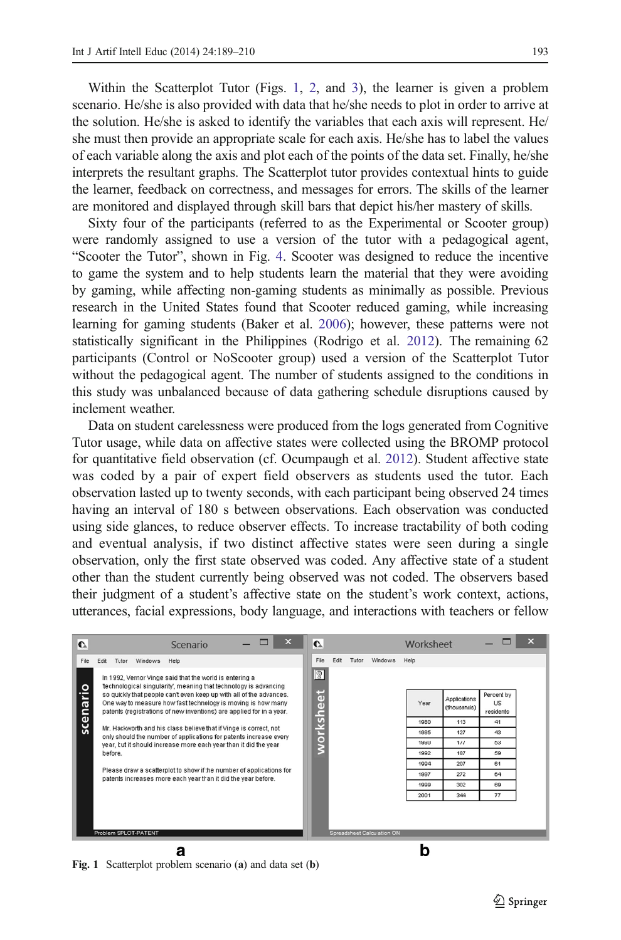Within the Scatterplot Tutor (Figs. 1, [2,](#page-5-0) and [3\)](#page-5-0), the learner is given a problem scenario. He/she is also provided with data that he/she needs to plot in order to arrive at the solution. He/she is asked to identify the variables that each axis will represent. He/ she must then provide an appropriate scale for each axis. He/she has to label the values of each variable along the axis and plot each of the points of the data set. Finally, he/she interprets the resultant graphs. The Scatterplot tutor provides contextual hints to guide the learner, feedback on correctness, and messages for errors. The skills of the learner are monitored and displayed through skill bars that depict his/her mastery of skills.

Sixty four of the participants (referred to as the Experimental or Scooter group) were randomly assigned to use a version of the tutor with a pedagogical agent, "Scooter the Tutor", shown in Fig. [4](#page-6-0). Scooter was designed to reduce the incentive to game the system and to help students learn the material that they were avoiding by gaming, while affecting non-gaming students as minimally as possible. Previous research in the United States found that Scooter reduced gaming, while increasing learning for gaming students (Baker et al. [2006](#page-18-0)); however, these patterns were not statistically significant in the Philippines (Rodrigo et al. [2012\)](#page-21-0). The remaining 62 participants (Control or NoScooter group) used a version of the Scatterplot Tutor without the pedagogical agent. The number of students assigned to the conditions in this study was unbalanced because of data gathering schedule disruptions caused by inclement weather.

Data on student carelessness were produced from the logs generated from Cognitive Tutor usage, while data on affective states were collected using the BROMP protocol for quantitative field observation (cf. Ocumpaugh et al. [2012\)](#page-20-0). Student affective state was coded by a pair of expert field observers as students used the tutor. Each observation lasted up to twenty seconds, with each participant being observed 24 times having an interval of 180 s between observations. Each observation was conducted using side glances, to reduce observer effects. To increase tractability of both coding and eventual analysis, if two distinct affective states were seen during a single observation, only the first state observed was coded. Any affective state of a student other than the student currently being observed was not coded. The observers based their judgment of a student's affective state on the student's work context, actions, utterances, facial expressions, body language, and interactions with teachers or fellow



Fig. 1 Scatterplot problem scenario (a) and data set (b)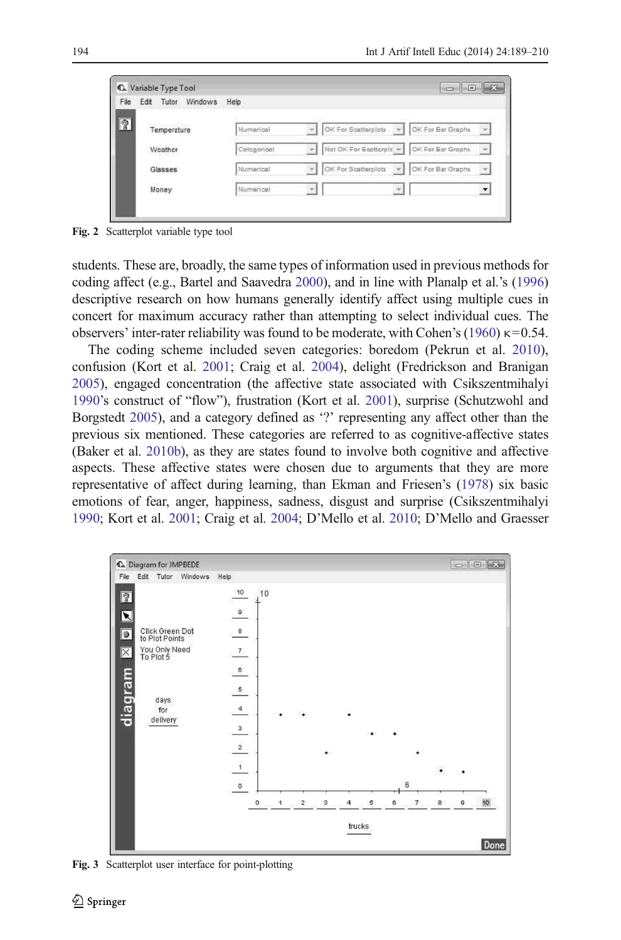<span id="page-5-0"></span>

| Windows<br>Tutor<br>Edit<br>File | Help        |                                          |                  |                   |                          |
|----------------------------------|-------------|------------------------------------------|------------------|-------------------|--------------------------|
| Temperature                      | Numerical   | OK For Scatterplots<br>$\overline{\tau}$ | <b>Investory</b> | OK For Bar Graphs | $\mathcal{R}$            |
| Weather                          | Categorical | Not OK For Scatterple +<br>$\sim$        |                  | OK For Bar Graphs | $\rightarrow$            |
| Glasses                          | Numerical   | OK For Scatterplots<br>$ +1 $            | $\mathbf{v}$     | OK For Bar Graphs | $\mathcal{P}$            |
| Money                            | Numerical   | $\mathcal T$                             | x                |                   | $\overline{\phantom{a}}$ |

Fig. 2 Scatterplot variable type tool

students. These are, broadly, the same types of information used in previous methods for coding affect (e.g., Bartel and Saavedra [2000\)](#page-18-0), and in line with Planalp et al.'s ([1996](#page-20-0)) descriptive research on how humans generally identify affect using multiple cues in concert for maximum accuracy rather than attempting to select individual cues. The observers' inter-rater reliability was found to be moderate, with Cohen's  $(1960)$  $(1960)$   $\kappa$ =0.54.

The coding scheme included seven categories: boredom (Pekrun et al. [2010\)](#page-20-0), confusion (Kort et al. [2001;](#page-20-0) Craig et al. [2004\)](#page-19-0), delight (Fredrickson and Branigan [2005\)](#page-19-0), engaged concentration (the affective state associated with Csikszentmihalyi [1990](#page-19-0)'s construct of "flow"), frustration (Kort et al. [2001](#page-20-0)), surprise (Schutzwohl and Borgstedt [2005](#page-21-0)), and a category defined as '?' representing any affect other than the previous six mentioned. These categories are referred to as cognitive-affective states (Baker et al. [2010b](#page-18-0)), as they are states found to involve both cognitive and affective aspects. These affective states were chosen due to arguments that they are more representative of affect during learning, than Ekman and Friesen's [\(1978\)](#page-19-0) six basic emotions of fear, anger, happiness, sadness, disgust and surprise (Csikszentmihalyi [1990;](#page-19-0) Kort et al. [2001](#page-20-0); Craig et al. [2004](#page-19-0); D'Mello et al. [2010](#page-19-0); D'Mello and Graesser



Fig. 3 Scatterplot user interface for point-plotting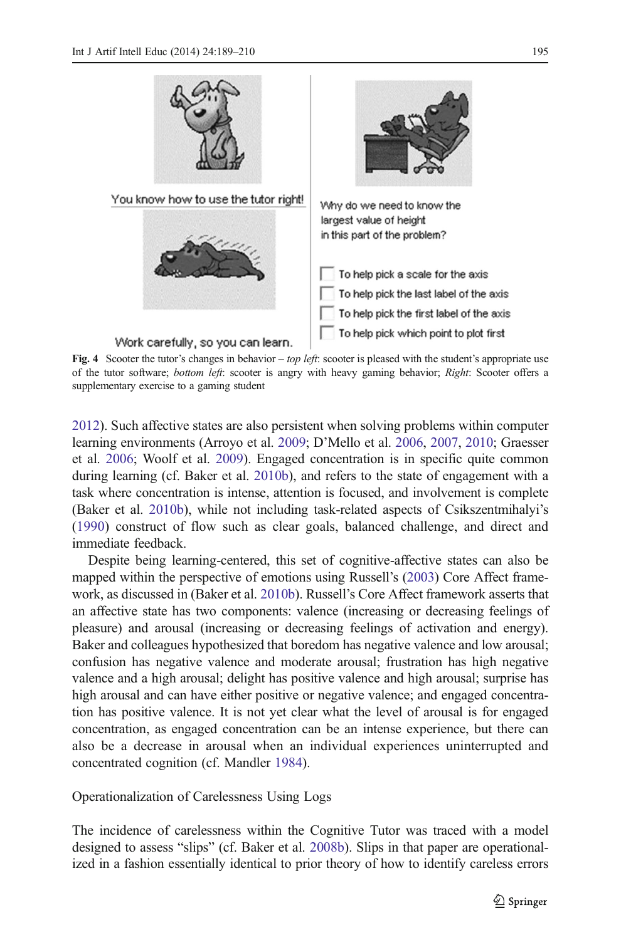<span id="page-6-0"></span>

Fig. 4 Scooter the tutor's changes in behavior – top left: scooter is pleased with the student's appropriate use of the tutor software; *bottom left*: scooter is angry with heavy gaming behavior; *Right*: Scooter offers a supplementary exercise to a gaming student

[2012\)](#page-19-0). Such affective states are also persistent when solving problems within computer learning environments (Arroyo et al. [2009](#page-18-0); D'Mello et al. [2006,](#page-19-0) [2007](#page-19-0), [2010](#page-19-0); Graesser et al. [2006](#page-19-0); Woolf et al. [2009](#page-21-0)). Engaged concentration is in specific quite common during learning (cf. Baker et al. [2010b](#page-18-0)), and refers to the state of engagement with a task where concentration is intense, attention is focused, and involvement is complete (Baker et al. [2010b](#page-18-0)), while not including task-related aspects of Csikszentmihalyi's [\(1990](#page-19-0)) construct of flow such as clear goals, balanced challenge, and direct and immediate feedback.

Despite being learning-centered, this set of cognitive-affective states can also be mapped within the perspective of emotions using Russell's [\(2003\)](#page-21-0) Core Affect framework, as discussed in (Baker et al. [2010b\)](#page-18-0). Russell's Core Affect framework asserts that an affective state has two components: valence (increasing or decreasing feelings of pleasure) and arousal (increasing or decreasing feelings of activation and energy). Baker and colleagues hypothesized that boredom has negative valence and low arousal; confusion has negative valence and moderate arousal; frustration has high negative valence and a high arousal; delight has positive valence and high arousal; surprise has high arousal and can have either positive or negative valence; and engaged concentration has positive valence. It is not yet clear what the level of arousal is for engaged concentration, as engaged concentration can be an intense experience, but there can also be a decrease in arousal when an individual experiences uninterrupted and concentrated cognition (cf. Mandler [1984](#page-20-0)).

Operationalization of Carelessness Using Logs

The incidence of carelessness within the Cognitive Tutor was traced with a model designed to assess "slips" (cf. Baker et al. [2008b\)](#page-18-0). Slips in that paper are operationalized in a fashion essentially identical to prior theory of how to identify careless errors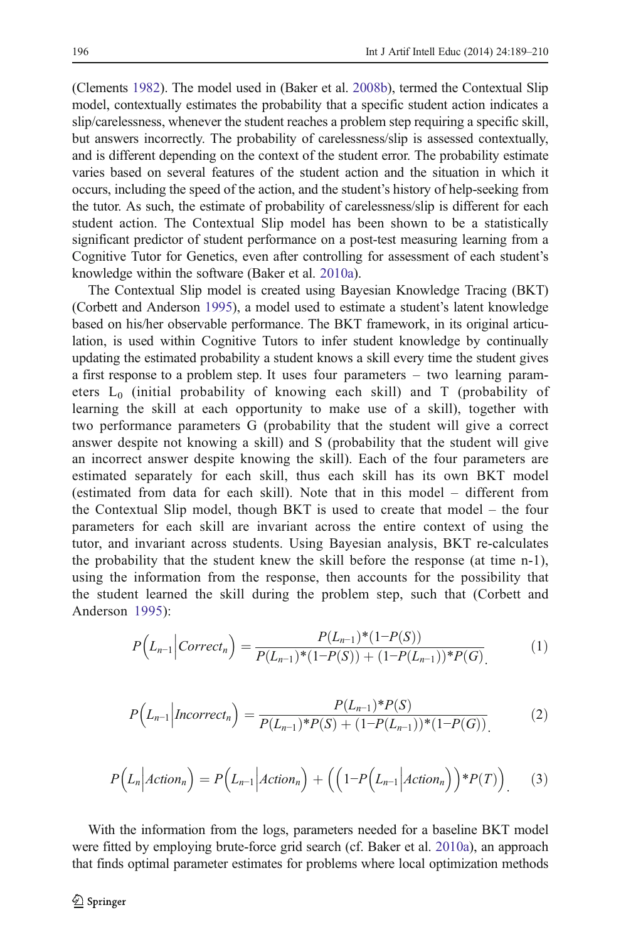<span id="page-7-0"></span>(Clements [1982](#page-18-0)). The model used in (Baker et al. [2008b](#page-18-0)), termed the Contextual Slip model, contextually estimates the probability that a specific student action indicates a slip/carelessness, whenever the student reaches a problem step requiring a specific skill, but answers incorrectly. The probability of carelessness/slip is assessed contextually, and is different depending on the context of the student error. The probability estimate varies based on several features of the student action and the situation in which it occurs, including the speed of the action, and the student's history of help-seeking from the tutor. As such, the estimate of probability of carelessness/slip is different for each student action. The Contextual Slip model has been shown to be a statistically significant predictor of student performance on a post-test measuring learning from a Cognitive Tutor for Genetics, even after controlling for assessment of each student's knowledge within the software (Baker et al. [2010a](#page-18-0)).

The Contextual Slip model is created using Bayesian Knowledge Tracing (BKT) (Corbett and Anderson [1995](#page-19-0)), a model used to estimate a student's latent knowledge based on his/her observable performance. The BKT framework, in its original articulation, is used within Cognitive Tutors to infer student knowledge by continually updating the estimated probability a student knows a skill every time the student gives a first response to a problem step. It uses four parameters – two learning parameters  $L_0$  (initial probability of knowing each skill) and T (probability of learning the skill at each opportunity to make use of a skill), together with two performance parameters G (probability that the student will give a correct answer despite not knowing a skill) and S (probability that the student will give an incorrect answer despite knowing the skill). Each of the four parameters are estimated separately for each skill, thus each skill has its own BKT model (estimated from data for each skill). Note that in this model – different from the Contextual Slip model, though BKT is used to create that model – the four parameters for each skill are invariant across the entire context of using the tutor, and invariant across students. Using Bayesian analysis, BKT re-calculates the probability that the student knew the skill before the response (at time n-1), using the information from the response, then accounts for the possibility that the student learned the skill during the problem step, such that (Corbett and Anderson [1995](#page-19-0)):

$$
P(L_{n-1}|\text{Correct}_n) = \frac{P(L_{n-1})^*(1-P(S))}{P(L_{n-1})^*(1-P(S)) + (1-P(L_{n-1}))^*P(G)}.
$$
\n(1)

$$
P(L_{n-1} | \text{Incorrect}_n) = \frac{P(L_{n-1})^* P(S)}{P(L_{n-1})^* P(S) + (1 - P(L_{n-1}))^* (1 - P(G))}.
$$
 (2)

$$
P(L_n|Action_n) = P(L_{n-1}|Action_n) + ((1 - P(L_{n-1}|Action_n)) * P(T)).
$$
 (3)

With the information from the logs, parameters needed for a baseline BKT model were fitted by employing brute-force grid search (cf. Baker et al. [2010a](#page-18-0)), an approach that finds optimal parameter estimates for problems where local optimization methods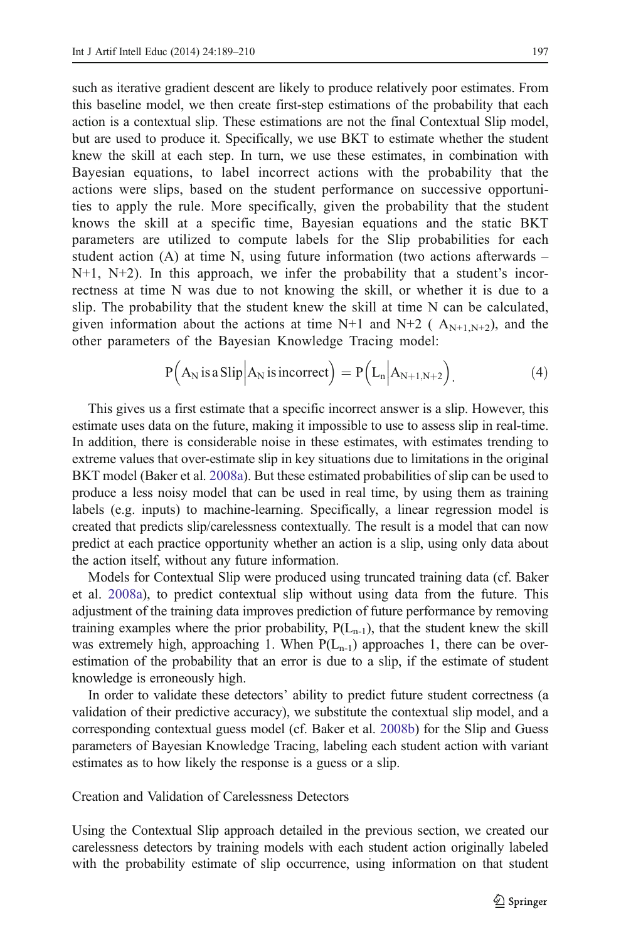such as iterative gradient descent are likely to produce relatively poor estimates. From this baseline model, we then create first-step estimations of the probability that each action is a contextual slip. These estimations are not the final Contextual Slip model, but are used to produce it. Specifically, we use BKT to estimate whether the student knew the skill at each step. In turn, we use these estimates, in combination with Bayesian equations, to label incorrect actions with the probability that the actions were slips, based on the student performance on successive opportunities to apply the rule. More specifically, given the probability that the student knows the skill at a specific time, Bayesian equations and the static BKT parameters are utilized to compute labels for the Slip probabilities for each student action  $(A)$  at time N, using future information (two actions afterwards –  $N+1$ ,  $N+2$ ). In this approach, we infer the probability that a student's incorrectness at time N was due to not knowing the skill, or whether it is due to a slip. The probability that the student knew the skill at time N can be calculated, given information about the actions at time N+1 and N+2 ( $A_{N+1,N+2}$ ), and the other parameters of the Bayesian Knowledge Tracing model:

$$
P(A_N \text{ is a Slip} | A_N \text{ is incorrect}) = P(L_n | A_{N+1,N+2}). \tag{4}
$$

This gives us a first estimate that a specific incorrect answer is a slip. However, this estimate uses data on the future, making it impossible to use to assess slip in real-time. In addition, there is considerable noise in these estimates, with estimates trending to extreme values that over-estimate slip in key situations due to limitations in the original BKT model (Baker et al. [2008a](#page-18-0)). But these estimated probabilities of slip can be used to produce a less noisy model that can be used in real time, by using them as training labels (e.g. inputs) to machine-learning. Specifically, a linear regression model is created that predicts slip/carelessness contextually. The result is a model that can now predict at each practice opportunity whether an action is a slip, using only data about the action itself, without any future information.

Models for Contextual Slip were produced using truncated training data (cf. Baker et al. [2008a\)](#page-18-0), to predict contextual slip without using data from the future. This adjustment of the training data improves prediction of future performance by removing training examples where the prior probability,  $P(L_{n-1})$ , that the student knew the skill was extremely high, approaching 1. When  $P(L_{n-1})$  approaches 1, there can be overestimation of the probability that an error is due to a slip, if the estimate of student knowledge is erroneously high.

In order to validate these detectors' ability to predict future student correctness (a validation of their predictive accuracy), we substitute the contextual slip model, and a corresponding contextual guess model (cf. Baker et al. [2008b\)](#page-18-0) for the Slip and Guess parameters of Bayesian Knowledge Tracing, labeling each student action with variant estimates as to how likely the response is a guess or a slip.

# Creation and Validation of Carelessness Detectors

Using the Contextual Slip approach detailed in the previous section, we created our carelessness detectors by training models with each student action originally labeled with the probability estimate of slip occurrence, using information on that student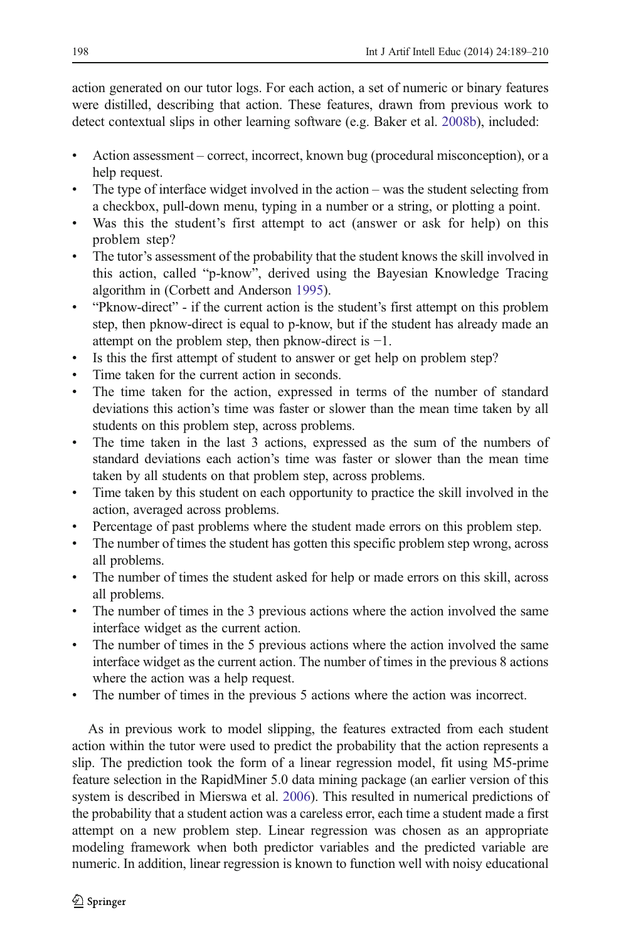action generated on our tutor logs. For each action, a set of numeric or binary features were distilled, describing that action. These features, drawn from previous work to detect contextual slips in other learning software (e.g. Baker et al. [2008b](#page-18-0)), included:

- & Action assessment correct, incorrect, known bug (procedural misconception), or a help request.
- The type of interface widget involved in the action was the student selecting from a checkbox, pull-down menu, typing in a number or a string, or plotting a point.
- Was this the student's first attempt to act (answer or ask for help) on this problem step?
- & The tutor's assessment of the probability that the student knows the skill involved in this action, called "p-know", derived using the Bayesian Knowledge Tracing algorithm in (Corbett and Anderson [1995\)](#page-19-0).
- & "Pknow-direct" if the current action is the student's first attempt on this problem step, then pknow-direct is equal to p-know, but if the student has already made an attempt on the problem step, then pknow-direct is −1.
- & Is this the first attempt of student to answer or get help on problem step?
- Time taken for the current action in seconds.
- The time taken for the action, expressed in terms of the number of standard deviations this action's time was faster or slower than the mean time taken by all students on this problem step, across problems.
- & The time taken in the last 3 actions, expressed as the sum of the numbers of standard deviations each action's time was faster or slower than the mean time taken by all students on that problem step, across problems.
- Time taken by this student on each opportunity to practice the skill involved in the action, averaged across problems.
- Percentage of past problems where the student made errors on this problem step.
- The number of times the student has gotten this specific problem step wrong, across all problems.
- & The number of times the student asked for help or made errors on this skill, across all problems.
- The number of times in the 3 previous actions where the action involved the same interface widget as the current action.
- The number of times in the 5 previous actions where the action involved the same interface widget as the current action. The number of times in the previous 8 actions where the action was a help request.
- The number of times in the previous 5 actions where the action was incorrect.

As in previous work to model slipping, the features extracted from each student action within the tutor were used to predict the probability that the action represents a slip. The prediction took the form of a linear regression model, fit using M5-prime feature selection in the RapidMiner 5.0 data mining package (an earlier version of this system is described in Mierswa et al. [2006\)](#page-20-0). This resulted in numerical predictions of the probability that a student action was a careless error, each time a student made a first attempt on a new problem step. Linear regression was chosen as an appropriate modeling framework when both predictor variables and the predicted variable are numeric. In addition, linear regression is known to function well with noisy educational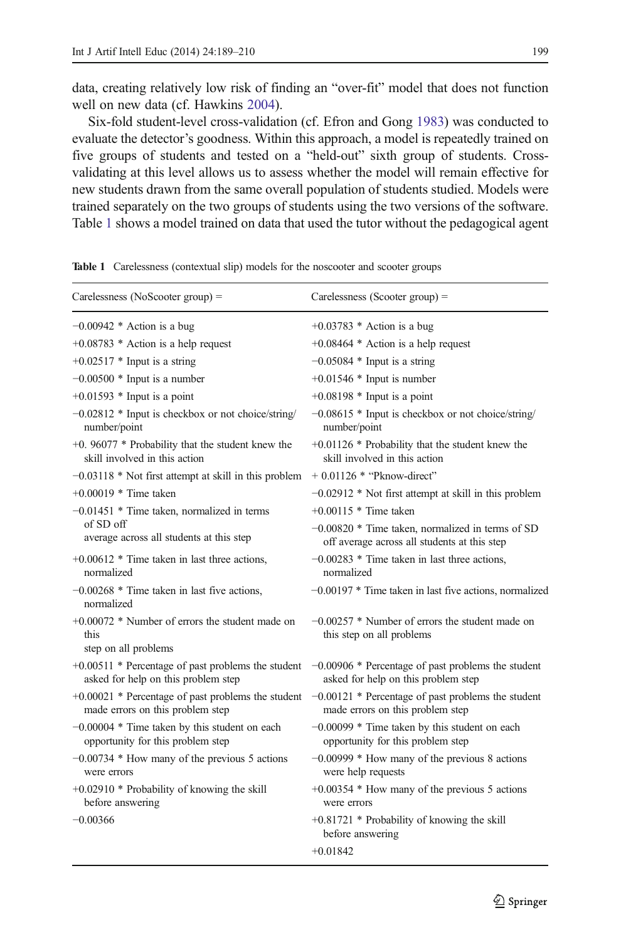data, creating relatively low risk of finding an "over-fit" model that does not function well on new data (cf. Hawkins [2004\)](#page-19-0).

Six-fold student-level cross-validation (cf. Efron and Gong [1983](#page-19-0)) was conducted to evaluate the detector's goodness. Within this approach, a model is repeatedly trained on five groups of students and tested on a "held-out" sixth group of students. Crossvalidating at this level allows us to assess whether the model will remain effective for new students drawn from the same overall population of students studied. Models were trained separately on the two groups of students using the two versions of the software. Table 1 shows a model trained on data that used the tutor without the pedagogical agent

| Carelessness (NoScooter group) =                                                            | Carelessness (Scooter group) =                                                                     |
|---------------------------------------------------------------------------------------------|----------------------------------------------------------------------------------------------------|
| $-0.00942$ * Action is a bug                                                                | $+0.03783$ * Action is a bug                                                                       |
| $+0.08783$ * Action is a help request                                                       | $+0.08464$ * Action is a help request                                                              |
| $+0.02517$ * Input is a string                                                              | $-0.05084$ * Input is a string                                                                     |
| $-0.00500$ * Input is a number                                                              | $+0.01546$ * Input is number                                                                       |
| $+0.01593$ * Input is a point                                                               | $+0.08198$ * Input is a point                                                                      |
| $-0.02812$ * Input is checkbox or not choice/string/<br>number/point                        | $-0.08615$ * Input is checkbox or not choice/string/<br>number/point                               |
| $+0.96077$ * Probability that the student knew the<br>skill involved in this action         | $+0.01126$ * Probability that the student knew the<br>skill involved in this action                |
| $-0.03118 *$ Not first attempt at skill in this problem                                     | $+0.01126$ * "Pknow-direct"                                                                        |
| $+0.00019$ * Time taken                                                                     | $-0.02912$ * Not first attempt at skill in this problem                                            |
| $-0.01451$ * Time taken, normalized in terms                                                | $+0.00115$ * Time taken                                                                            |
| of SD off<br>average across all students at this step                                       | $-0.00820$ * Time taken, normalized in terms of SD<br>off average across all students at this step |
| $+0.00612$ * Time taken in last three actions,<br>normalized                                | $-0.00283$ * Time taken in last three actions,<br>normalized                                       |
| $-0.00268$ * Time taken in last five actions,<br>normalized                                 | $-0.00197$ * Time taken in last five actions, normalized                                           |
| +0.00072 * Number of errors the student made on<br>this<br>step on all problems             | $-0.00257$ * Number of errors the student made on<br>this step on all problems                     |
| $+0.00511$ * Percentage of past problems the student<br>asked for help on this problem step | $-0.00906*$ Percentage of past problems the student<br>asked for help on this problem step         |
| $+0.00021$ * Percentage of past problems the student<br>made errors on this problem step    | $-0.00121$ * Percentage of past problems the student<br>made errors on this problem step           |
| $-0.00004$ * Time taken by this student on each<br>opportunity for this problem step        | $-0.00099$ * Time taken by this student on each<br>opportunity for this problem step               |
| $-0.00734$ * How many of the previous 5 actions<br>were errors                              | $-0.00999$ * How many of the previous 8 actions<br>were help requests                              |
| $+0.02910*$ Probability of knowing the skill<br>before answering                            | $+0.00354$ * How many of the previous 5 actions<br>were errors                                     |
| $-0.00366$                                                                                  | +0.81721 * Probability of knowing the skill<br>before answering                                    |
|                                                                                             | $+0.01842$                                                                                         |

Table 1 Carelessness (contextual slip) models for the noscooter and scooter groups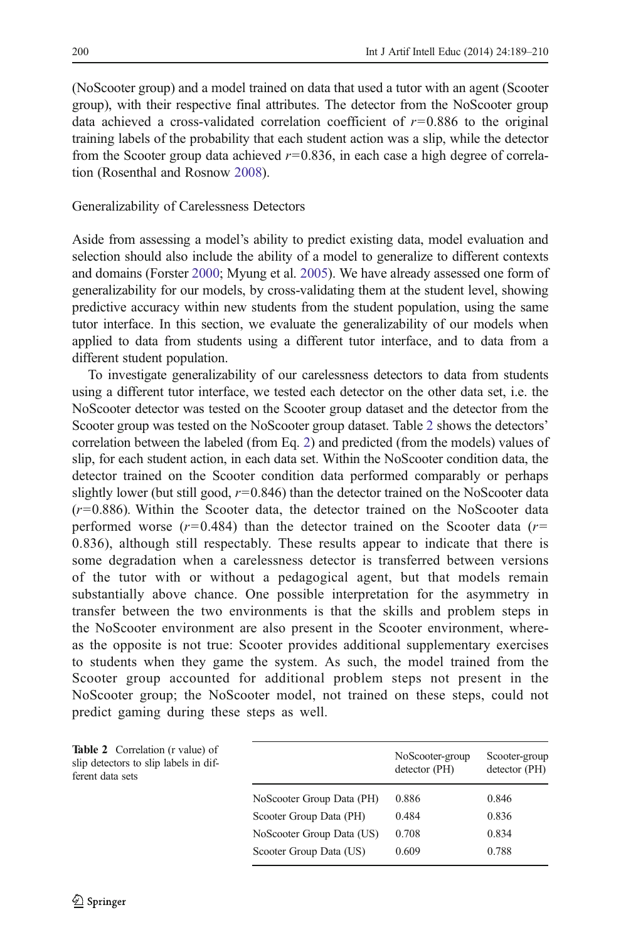(NoScooter group) and a model trained on data that used a tutor with an agent (Scooter group), with their respective final attributes. The detector from the NoScooter group data achieved a cross-validated correlation coefficient of  $r=0.886$  to the original training labels of the probability that each student action was a slip, while the detector from the Scooter group data achieved  $r=0.836$ , in each case a high degree of correlation (Rosenthal and Rosnow [2008](#page-21-0)).

## Generalizability of Carelessness Detectors

Aside from assessing a model's ability to predict existing data, model evaluation and selection should also include the ability of a model to generalize to different contexts and domains (Forster [2000](#page-19-0); Myung et al. [2005](#page-20-0)). We have already assessed one form of generalizability for our models, by cross-validating them at the student level, showing predictive accuracy within new students from the student population, using the same tutor interface. In this section, we evaluate the generalizability of our models when applied to data from students using a different tutor interface, and to data from a different student population.

To investigate generalizability of our carelessness detectors to data from students using a different tutor interface, we tested each detector on the other data set, i.e. the NoScooter detector was tested on the Scooter group dataset and the detector from the Scooter group was tested on the NoScooter group dataset. Table 2 shows the detectors' correlation between the labeled (from Eq. [2\)](#page-7-0) and predicted (from the models) values of slip, for each student action, in each data set. Within the NoScooter condition data, the detector trained on the Scooter condition data performed comparably or perhaps slightly lower (but still good,  $r=0.846$ ) than the detector trained on the NoScooter data  $(r=0.886)$ . Within the Scooter data, the detector trained on the NoScooter data performed worse ( $r=0.484$ ) than the detector trained on the Scooter data ( $r=$ 0.836), although still respectably. These results appear to indicate that there is some degradation when a carelessness detector is transferred between versions of the tutor with or without a pedagogical agent, but that models remain substantially above chance. One possible interpretation for the asymmetry in transfer between the two environments is that the skills and problem steps in the NoScooter environment are also present in the Scooter environment, whereas the opposite is not true: Scooter provides additional supplementary exercises to students when they game the system. As such, the model trained from the Scooter group accounted for additional problem steps not present in the NoScooter group; the NoScooter model, not trained on these steps, could not predict gaming during these steps as well.

| <b>Table 2</b> Correlation (r value) of<br>slip detectors to slip labels in dif-<br>ferent data sets |                           | NoScooter-group<br>detector (PH) | Scooter-group<br>detector (PH) |
|------------------------------------------------------------------------------------------------------|---------------------------|----------------------------------|--------------------------------|
|                                                                                                      | NoScooter Group Data (PH) | 0.886                            | 0.846                          |
|                                                                                                      | Scooter Group Data (PH)   | 0.484                            | 0.836                          |
|                                                                                                      | NoScooter Group Data (US) | 0.708                            | 0.834                          |
|                                                                                                      | Scooter Group Data (US)   | 0.609                            | 0.788                          |
|                                                                                                      |                           |                                  |                                |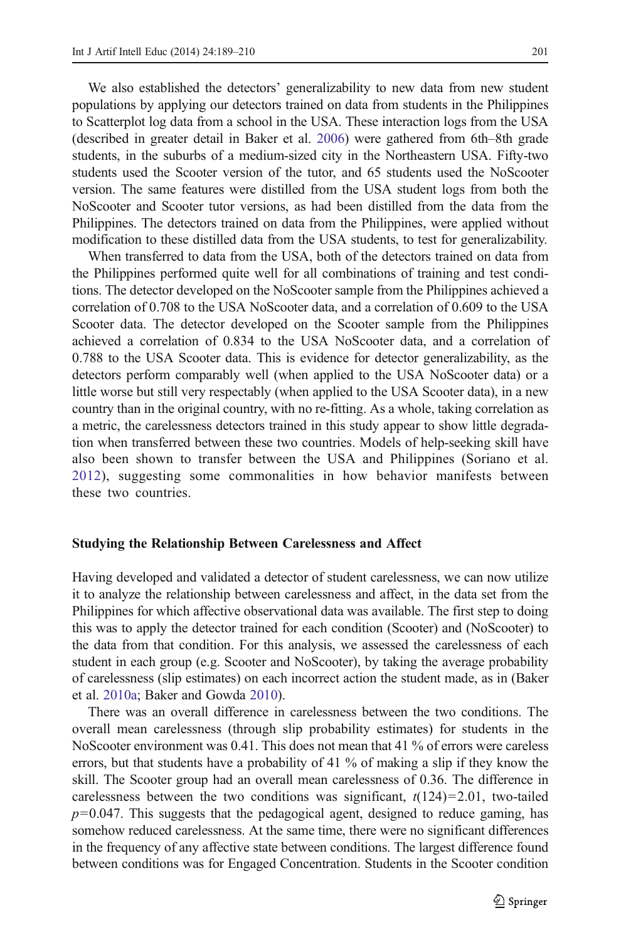We also established the detectors' generalizability to new data from new student populations by applying our detectors trained on data from students in the Philippines to Scatterplot log data from a school in the USA. These interaction logs from the USA (described in greater detail in Baker et al. [2006\)](#page-18-0) were gathered from 6th–8th grade students, in the suburbs of a medium-sized city in the Northeastern USA. Fifty-two students used the Scooter version of the tutor, and 65 students used the NoScooter version. The same features were distilled from the USA student logs from both the NoScooter and Scooter tutor versions, as had been distilled from the data from the Philippines. The detectors trained on data from the Philippines, were applied without modification to these distilled data from the USA students, to test for generalizability.

When transferred to data from the USA, both of the detectors trained on data from the Philippines performed quite well for all combinations of training and test conditions. The detector developed on the NoScooter sample from the Philippines achieved a correlation of 0.708 to the USA NoScooter data, and a correlation of 0.609 to the USA Scooter data. The detector developed on the Scooter sample from the Philippines achieved a correlation of 0.834 to the USA NoScooter data, and a correlation of 0.788 to the USA Scooter data. This is evidence for detector generalizability, as the detectors perform comparably well (when applied to the USA NoScooter data) or a little worse but still very respectably (when applied to the USA Scooter data), in a new country than in the original country, with no re-fitting. As a whole, taking correlation as a metric, the carelessness detectors trained in this study appear to show little degradation when transferred between these two countries. Models of help-seeking skill have also been shown to transfer between the USA and Philippines (Soriano et al. [2012\)](#page-21-0), suggesting some commonalities in how behavior manifests between these two countries.

### Studying the Relationship Between Carelessness and Affect

Having developed and validated a detector of student carelessness, we can now utilize it to analyze the relationship between carelessness and affect, in the data set from the Philippines for which affective observational data was available. The first step to doing this was to apply the detector trained for each condition (Scooter) and (NoScooter) to the data from that condition. For this analysis, we assessed the carelessness of each student in each group (e.g. Scooter and NoScooter), by taking the average probability of carelessness (slip estimates) on each incorrect action the student made, as in (Baker et al. [2010a](#page-18-0); Baker and Gowda [2010](#page-18-0)).

There was an overall difference in carelessness between the two conditions. The overall mean carelessness (through slip probability estimates) for students in the NoScooter environment was 0.41. This does not mean that 41 % of errors were careless errors, but that students have a probability of 41 % of making a slip if they know the skill. The Scooter group had an overall mean carelessness of 0.36. The difference in carelessness between the two conditions was significant,  $t(124)=2.01$ , two-tailed  $p=0.047$ . This suggests that the pedagogical agent, designed to reduce gaming, has somehow reduced carelessness. At the same time, there were no significant differences in the frequency of any affective state between conditions. The largest difference found between conditions was for Engaged Concentration. Students in the Scooter condition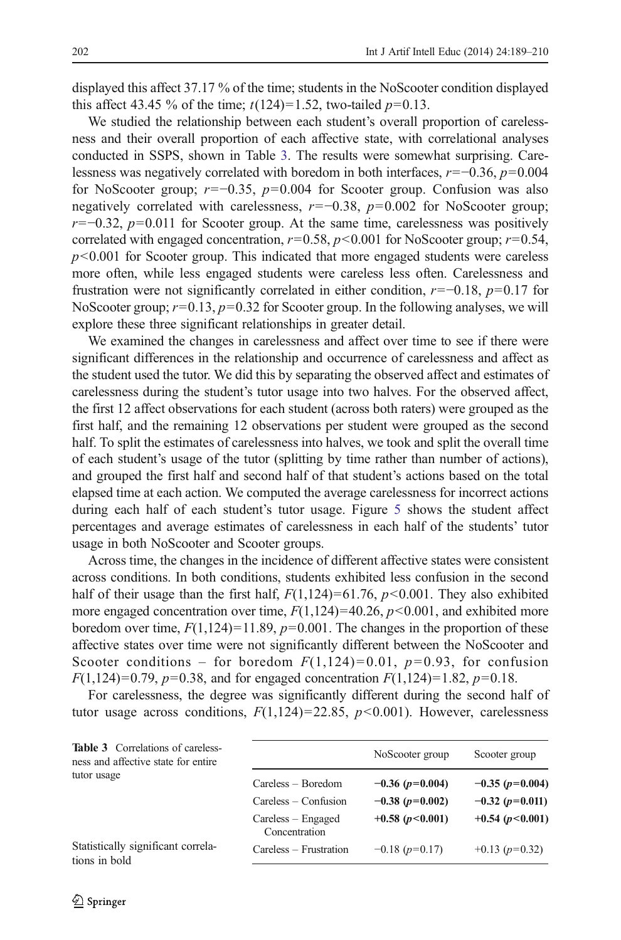displayed this affect 37.17 % of the time; students in the NoScooter condition displayed this affect 43.45 % of the time;  $t(124)=1.52$ , two-tailed  $p=0.13$ .

We studied the relationship between each student's overall proportion of carelessness and their overall proportion of each affective state, with correlational analyses conducted in SSPS, shown in Table 3. The results were somewhat surprising. Carelessness was negatively correlated with boredom in both interfaces,  $r=-0.36$ ,  $p=0.004$ for NoScooter group;  $r=-0.35$ ,  $p=0.004$  for Scooter group. Confusion was also negatively correlated with carelessness,  $r=-0.38$ ,  $p=0.002$  for NoScooter group;  $r=-0.32$ ,  $p=0.011$  for Scooter group. At the same time, carelessness was positively correlated with engaged concentration,  $r=0.58$ ,  $p<0.001$  for NoScooter group;  $r=0.54$ ,  $p<0.001$  for Scooter group. This indicated that more engaged students were careless more often, while less engaged students were careless less often. Carelessness and frustration were not significantly correlated in either condition,  $r=-0.18$ ,  $p=0.17$  for NoScooter group;  $r=0.13$ ,  $p=0.32$  for Scooter group. In the following analyses, we will explore these three significant relationships in greater detail.

We examined the changes in carelessness and affect over time to see if there were significant differences in the relationship and occurrence of carelessness and affect as the student used the tutor. We did this by separating the observed affect and estimates of carelessness during the student's tutor usage into two halves. For the observed affect, the first 12 affect observations for each student (across both raters) were grouped as the first half, and the remaining 12 observations per student were grouped as the second half. To split the estimates of carelessness into halves, we took and split the overall time of each student's usage of the tutor (splitting by time rather than number of actions), and grouped the first half and second half of that student's actions based on the total elapsed time at each action. We computed the average carelessness for incorrect actions during each half of each student's tutor usage. Figure [5](#page-14-0) shows the student affect percentages and average estimates of carelessness in each half of the students' tutor usage in both NoScooter and Scooter groups.

Across time, the changes in the incidence of different affective states were consistent across conditions. In both conditions, students exhibited less confusion in the second half of their usage than the first half,  $F(1,124)=61.76$ ,  $p<0.001$ . They also exhibited more engaged concentration over time,  $F(1,124)=40.26, p<0.001$ , and exhibited more boredom over time,  $F(1,124)=11.89$ ,  $p=0.001$ . The changes in the proportion of these affective states over time were not significantly different between the NoScooter and Scooter conditions – for boredom  $F(1,124)=0.01$ ,  $p=0.93$ , for confusion  $F(1,124)=0.79, p=0.38,$  and for engaged concentration  $F(1,124)=1.82, p=0.18.$ 

For carelessness, the degree was significantly different during the second half of tutor usage across conditions,  $F(1,124)=22.85$ ,  $p<0.001$ ). However, carelessness

| <b>Table 3</b> Correlations of careless-<br>ness and affective state for entire<br>tutor usage |                                       | NoScooter group      | Scooter group        |  |
|------------------------------------------------------------------------------------------------|---------------------------------------|----------------------|----------------------|--|
|                                                                                                | Careless - Boredom                    | $-0.36$ (p=0.004)    | $-0.35(p=0.004)$     |  |
|                                                                                                | $Careless - Confusion$                | $-0.38(p=0.002)$     | $-0.32$ (p=0.011)    |  |
|                                                                                                | $Careless$ – Engaged<br>Concentration | $+0.58(p<0.001)$     | $+0.54~(p<0.001)$    |  |
| Statistically significant correla-<br>tions in bold                                            | Careless – Frustration                | $-0.18$ ( $p=0.17$ ) | $+0.13$ ( $p=0.32$ ) |  |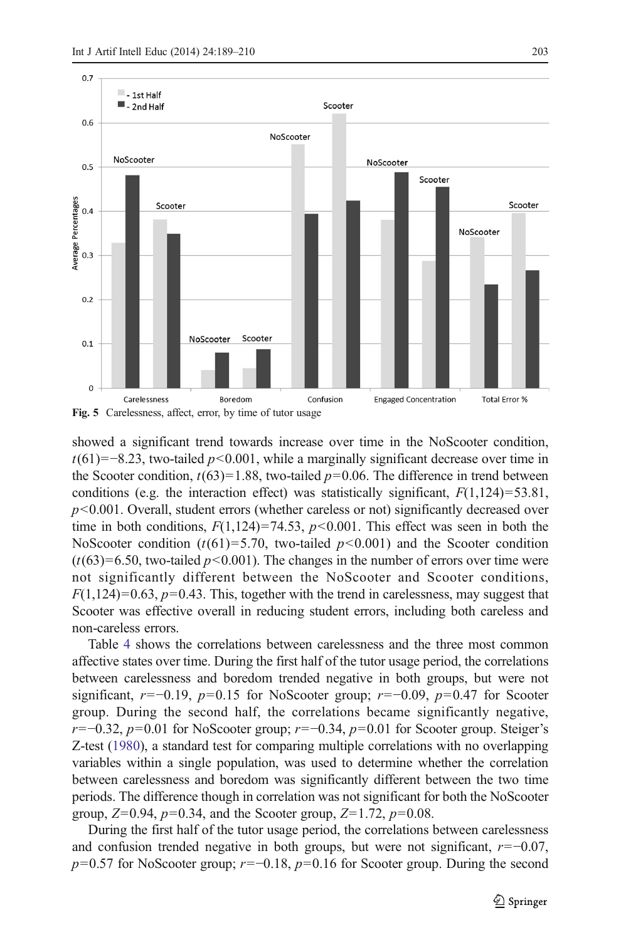<span id="page-14-0"></span>

showed a significant trend towards increase over time in the NoScooter condition,  $t(61)=-8.23$ , two-tailed  $p<0.001$ , while a marginally significant decrease over time in the Scooter condition,  $t(63)=1.88$ , two-tailed  $p=0.06$ . The difference in trend between conditions (e.g. the interaction effect) was statistically significant,  $F(1,124)=53.81$ ,  $p<0.001$ . Overall, student errors (whether careless or not) significantly decreased over time in both conditions,  $F(1,124)=74.53$ ,  $p<0.001$ . This effect was seen in both the NoScooter condition  $(t(61)=5.70$ , two-tailed  $p<0.001$ ) and the Scooter condition  $(t(63)=6.50$ , two-tailed  $p<0.001$ ). The changes in the number of errors over time were not significantly different between the NoScooter and Scooter conditions,  $F(1,124)=0.63$ ,  $p=0.43$ . This, together with the trend in carelessness, may suggest that Scooter was effective overall in reducing student errors, including both careless and non-careless errors.

Table [4](#page-15-0) shows the correlations between carelessness and the three most common affective states over time. During the first half of the tutor usage period, the correlations between carelessness and boredom trended negative in both groups, but were not significant,  $r=-0.19$ ,  $p=0.15$  for NoScooter group;  $r=-0.09$ ,  $p=0.47$  for Scooter group. During the second half, the correlations became significantly negative, r=−0.32, p=0.01 for NoScooter group; r=−0.34, p=0.01 for Scooter group. Steiger's Z-test [\(1980](#page-21-0)), a standard test for comparing multiple correlations with no overlapping variables within a single population, was used to determine whether the correlation between carelessness and boredom was significantly different between the two time periods. The difference though in correlation was not significant for both the NoScooter group,  $Z=0.94$ ,  $p=0.34$ , and the Scooter group,  $Z=1.72$ ,  $p=0.08$ .

During the first half of the tutor usage period, the correlations between carelessness and confusion trended negative in both groups, but were not significant,  $r=-0.07$ ,  $p=0.57$  for NoScooter group;  $r=-0.18$ ,  $p=0.16$  for Scooter group. During the second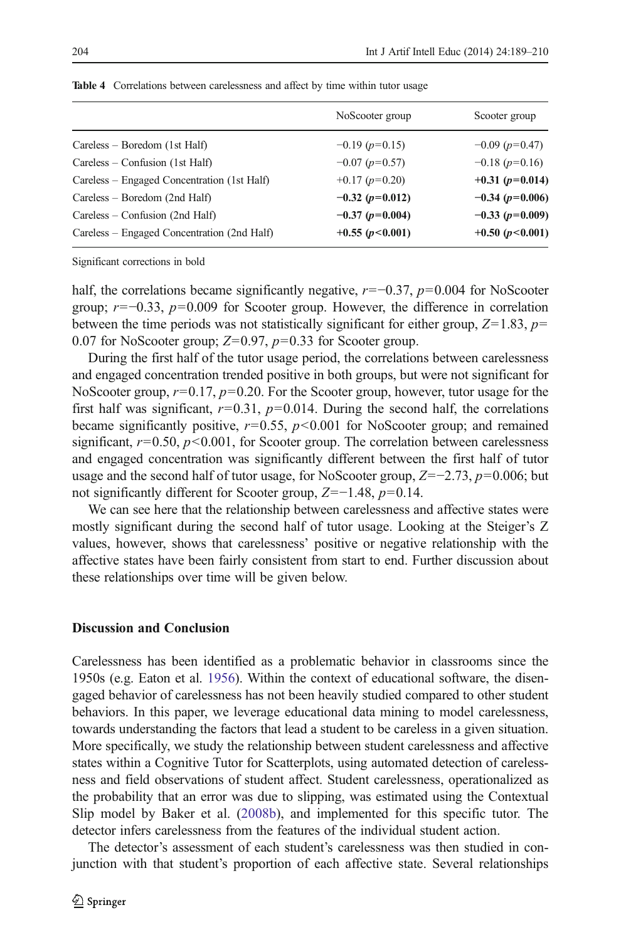|                                             | NoScooter group       | Scooter group         |
|---------------------------------------------|-----------------------|-----------------------|
| $Careless - Boredom$ (1st Half)             | $-0.19$ ( $p=0.15$ )  | $-0.09$ ( $p=0.47$ )  |
| Careless – Confusion (1st Half)             | $-0.07$ ( $p=0.57$ )  | $-0.18$ ( $p=0.16$ )  |
| Careless – Engaged Concentration (1st Half) | $+0.17$ ( $p=0.20$ )  | $+0.31$ (p=0.014)     |
| Careless – Boredom (2nd Half)               | $-0.32$ (p=0.012)     | $-0.34$ ( $p=0.006$ ) |
| Careless – Confusion (2nd Half)             | $-0.37$ ( $p=0.004$ ) | $-0.33$ ( $p=0.009$ ) |
| Careless – Engaged Concentration (2nd Half) | $+0.55(p<0.001)$      | $+0.50~(p<0.001)$     |

<span id="page-15-0"></span>Table 4 Correlations between carelessness and affect by time within tutor usage

Significant corrections in bold

half, the correlations became significantly negative,  $r=-0.37$ ,  $p=0.004$  for NoScooter group;  $r=-0.33$ ,  $p=0.009$  for Scooter group. However, the difference in correlation between the time periods was not statistically significant for either group,  $Z=1.83$ ,  $p=$ 0.07 for NoScooter group;  $Z=0.97$ ,  $p=0.33$  for Scooter group.

During the first half of the tutor usage period, the correlations between carelessness and engaged concentration trended positive in both groups, but were not significant for NoScooter group,  $r=0.17$ ,  $p=0.20$ . For the Scooter group, however, tutor usage for the first half was significant,  $r=0.31$ ,  $p=0.014$ . During the second half, the correlations became significantly positive,  $r=0.55$ ,  $p<0.001$  for NoScooter group; and remained significant,  $r=0.50$ ,  $p<0.001$ , for Scooter group. The correlation between carelessness and engaged concentration was significantly different between the first half of tutor usage and the second half of tutor usage, for NoScooter group,  $Z=-2.73$ ,  $p=0.006$ ; but not significantly different for Scooter group,  $Z=-1.48$ ,  $p=0.14$ .

We can see here that the relationship between carelessness and affective states were mostly significant during the second half of tutor usage. Looking at the Steiger's Z values, however, shows that carelessness' positive or negative relationship with the affective states have been fairly consistent from start to end. Further discussion about these relationships over time will be given below.

## Discussion and Conclusion

Carelessness has been identified as a problematic behavior in classrooms since the 1950s (e.g. Eaton et al. [1956](#page-19-0)). Within the context of educational software, the disengaged behavior of carelessness has not been heavily studied compared to other student behaviors. In this paper, we leverage educational data mining to model carelessness, towards understanding the factors that lead a student to be careless in a given situation. More specifically, we study the relationship between student carelessness and affective states within a Cognitive Tutor for Scatterplots, using automated detection of carelessness and field observations of student affect. Student carelessness, operationalized as the probability that an error was due to slipping, was estimated using the Contextual Slip model by Baker et al. ([2008b](#page-18-0)), and implemented for this specific tutor. The detector infers carelessness from the features of the individual student action.

The detector's assessment of each student's carelessness was then studied in conjunction with that student's proportion of each affective state. Several relationships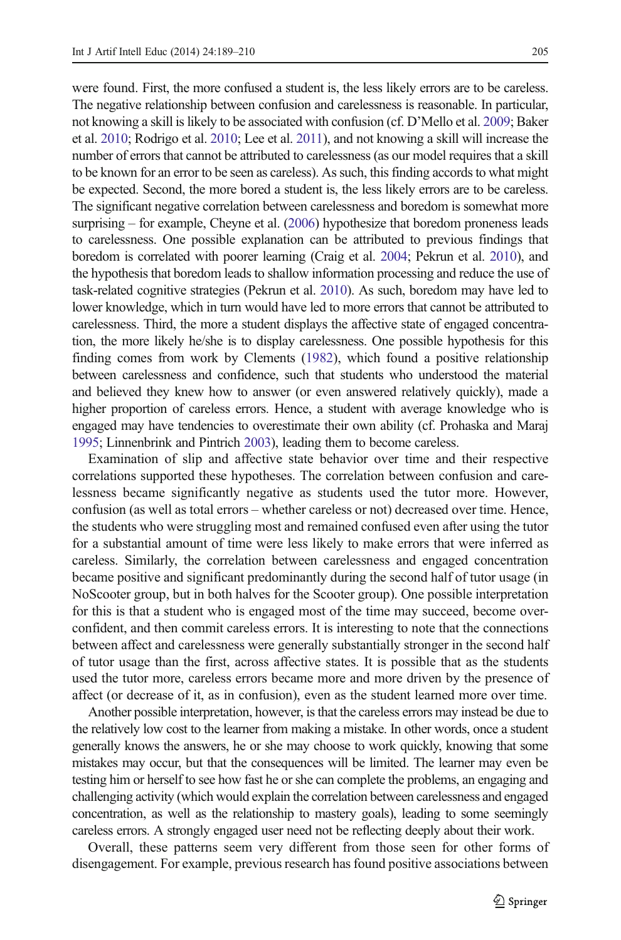were found. First, the more confused a student is, the less likely errors are to be careless. The negative relationship between confusion and carelessness is reasonable. In particular, not knowing a skill is likely to be associated with confusion (cf. D'Mello et al. [2009](#page-19-0); Baker et al. [2010](#page-18-0); Rodrigo et al. [2010](#page-20-0); Lee et al. [2011\)](#page-20-0), and not knowing a skill will increase the number of errors that cannot be attributed to carelessness (as our model requires that a skill to be known for an error to be seen as careless). As such, this finding accords to what might be expected. Second, the more bored a student is, the less likely errors are to be careless. The significant negative correlation between carelessness and boredom is somewhat more surprising – for example, Cheyne et al. [\(2006\)](#page-18-0) hypothesize that boredom proneness leads to carelessness. One possible explanation can be attributed to previous findings that boredom is correlated with poorer learning (Craig et al. [2004](#page-19-0); Pekrun et al. [2010\)](#page-20-0), and the hypothesis that boredom leads to shallow information processing and reduce the use of task-related cognitive strategies (Pekrun et al. [2010\)](#page-20-0). As such, boredom may have led to lower knowledge, which in turn would have led to more errors that cannot be attributed to carelessness. Third, the more a student displays the affective state of engaged concentration, the more likely he/she is to display carelessness. One possible hypothesis for this finding comes from work by Clements [\(1982\)](#page-18-0), which found a positive relationship between carelessness and confidence, such that students who understood the material and believed they knew how to answer (or even answered relatively quickly), made a higher proportion of careless errors. Hence, a student with average knowledge who is engaged may have tendencies to overestimate their own ability (cf. Prohaska and Maraj [1995](#page-20-0); Linnenbrink and Pintrich [2003\)](#page-20-0), leading them to become careless.

Examination of slip and affective state behavior over time and their respective correlations supported these hypotheses. The correlation between confusion and carelessness became significantly negative as students used the tutor more. However, confusion (as well as total errors – whether careless or not) decreased over time. Hence, the students who were struggling most and remained confused even after using the tutor for a substantial amount of time were less likely to make errors that were inferred as careless. Similarly, the correlation between carelessness and engaged concentration became positive and significant predominantly during the second half of tutor usage (in NoScooter group, but in both halves for the Scooter group). One possible interpretation for this is that a student who is engaged most of the time may succeed, become overconfident, and then commit careless errors. It is interesting to note that the connections between affect and carelessness were generally substantially stronger in the second half of tutor usage than the first, across affective states. It is possible that as the students used the tutor more, careless errors became more and more driven by the presence of affect (or decrease of it, as in confusion), even as the student learned more over time.

Another possible interpretation, however, is that the careless errors may instead be due to the relatively low cost to the learner from making a mistake. In other words, once a student generally knows the answers, he or she may choose to work quickly, knowing that some mistakes may occur, but that the consequences will be limited. The learner may even be testing him or herself to see how fast he or she can complete the problems, an engaging and challenging activity (which would explain the correlation between carelessness and engaged concentration, as well as the relationship to mastery goals), leading to some seemingly careless errors. A strongly engaged user need not be reflecting deeply about their work.

Overall, these patterns seem very different from those seen for other forms of disengagement. For example, previous research has found positive associations between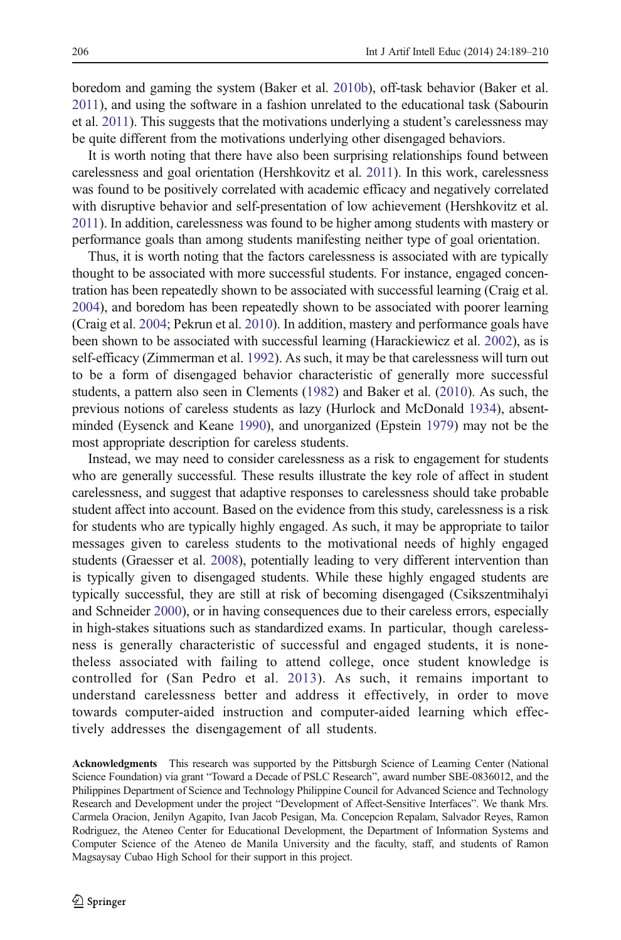boredom and gaming the system (Baker et al. [2010b](#page-18-0)), off-task behavior (Baker et al. [2011](#page-18-0)), and using the software in a fashion unrelated to the educational task (Sabourin et al. [2011\)](#page-21-0). This suggests that the motivations underlying a student's carelessness may be quite different from the motivations underlying other disengaged behaviors.

It is worth noting that there have also been surprising relationships found between carelessness and goal orientation (Hershkovitz et al. [2011\)](#page-19-0). In this work, carelessness was found to be positively correlated with academic efficacy and negatively correlated with disruptive behavior and self-presentation of low achievement (Hershkovitz et al. [2011](#page-19-0)). In addition, carelessness was found to be higher among students with mastery or performance goals than among students manifesting neither type of goal orientation.

Thus, it is worth noting that the factors carelessness is associated with are typically thought to be associated with more successful students. For instance, engaged concentration has been repeatedly shown to be associated with successful learning (Craig et al. [2004\)](#page-19-0), and boredom has been repeatedly shown to be associated with poorer learning (Craig et al. [2004](#page-19-0); Pekrun et al. [2010\)](#page-20-0). In addition, mastery and performance goals have been shown to be associated with successful learning (Harackiewicz et al. [2002\)](#page-19-0), as is self-efficacy (Zimmerman et al. [1992](#page-21-0)). As such, it may be that carelessness will turn out to be a form of disengaged behavior characteristic of generally more successful students, a pattern also seen in Clements [\(1982\)](#page-18-0) and Baker et al. [\(2010\)](#page-18-0). As such, the previous notions of careless students as lazy (Hurlock and McDonald [1934](#page-19-0)), absentminded (Eysenck and Keane [1990](#page-19-0)), and unorganized (Epstein [1979](#page-19-0)) may not be the most appropriate description for careless students.

Instead, we may need to consider carelessness as a risk to engagement for students who are generally successful. These results illustrate the key role of affect in student carelessness, and suggest that adaptive responses to carelessness should take probable student affect into account. Based on the evidence from this study, carelessness is a risk for students who are typically highly engaged. As such, it may be appropriate to tailor messages given to careless students to the motivational needs of highly engaged students (Graesser et al. [2008\)](#page-19-0), potentially leading to very different intervention than is typically given to disengaged students. While these highly engaged students are typically successful, they are still at risk of becoming disengaged (Csikszentmihalyi and Schneider [2000\)](#page-19-0), or in having consequences due to their careless errors, especially in high-stakes situations such as standardized exams. In particular, though carelessness is generally characteristic of successful and engaged students, it is nonetheless associated with failing to attend college, once student knowledge is controlled for (San Pedro et al. [2013\)](#page-21-0). As such, it remains important to understand carelessness better and address it effectively, in order to move towards computer-aided instruction and computer-aided learning which effectively addresses the disengagement of all students.

Acknowledgments This research was supported by the Pittsburgh Science of Learning Center (National Science Foundation) via grant "Toward a Decade of PSLC Research", award number SBE-0836012, and the Philippines Department of Science and Technology Philippine Council for Advanced Science and Technology Research and Development under the project "Development of Affect-Sensitive Interfaces". We thank Mrs. Carmela Oracion, Jenilyn Agapito, Ivan Jacob Pesigan, Ma. Concepcion Repalam, Salvador Reyes, Ramon Rodriguez, the Ateneo Center for Educational Development, the Department of Information Systems and Computer Science of the Ateneo de Manila University and the faculty, staff, and students of Ramon Magsaysay Cubao High School for their support in this project.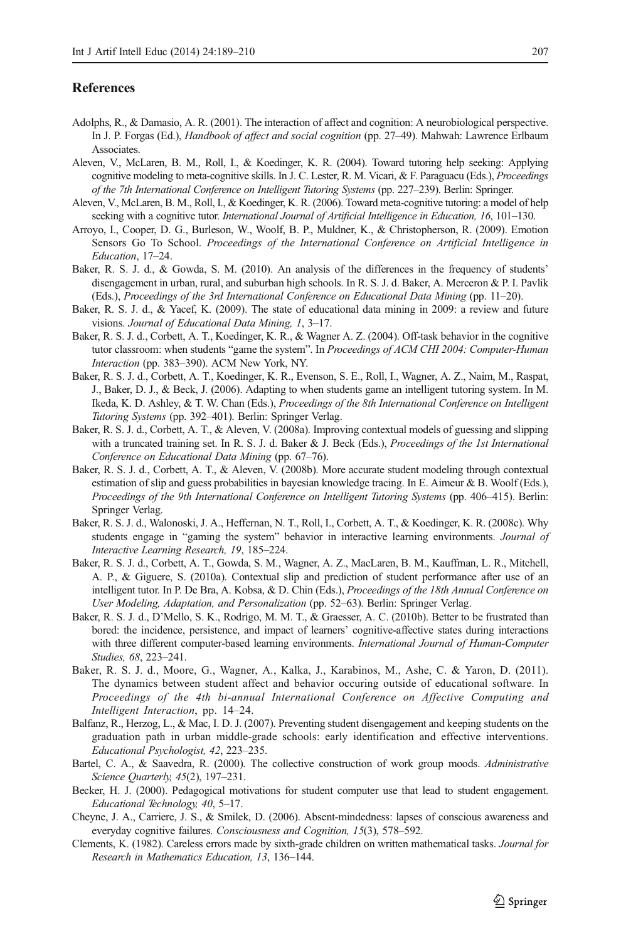### <span id="page-18-0"></span>References

- Adolphs, R., & Damasio, A. R. (2001). The interaction of affect and cognition: A neurobiological perspective. In J. P. Forgas (Ed.), Handbook of affect and social cognition (pp. 27-49). Mahwah: Lawrence Erlbaum Associates.
- Aleven, V., McLaren, B. M., Roll, I., & Koedinger, K. R. (2004). Toward tutoring help seeking: Applying cognitive modeling to meta-cognitive skills. In J. C. Lester, R. M. Vicari, & F. Paraguacu (Eds.), *Proceedings* of the 7th International Conference on Intelligent Tutoring Systems (pp. 227–239). Berlin: Springer.
- Aleven, V., McLaren, B. M., Roll, I., & Koedinger, K. R. (2006). Toward meta-cognitive tutoring: a model of help seeking with a cognitive tutor. *International Journal of Artificial Intelligence in Education, 16,* 101–130.
- Arroyo, I., Cooper, D. G., Burleson, W., Woolf, B. P., Muldner, K., & Christopherson, R. (2009). Emotion Sensors Go To School. Proceedings of the International Conference on Artificial Intelligence in Education, 17–24.
- Baker, R. S. J. d., & Gowda, S. M. (2010). An analysis of the differences in the frequency of students' disengagement in urban, rural, and suburban high schools. In R. S. J. d. Baker, A. Merceron & P. I. Pavlik (Eds.), Proceedings of the 3rd International Conference on Educational Data Mining (pp. 11–20).
- Baker, R. S. J. d., & Yacef, K. (2009). The state of educational data mining in 2009: a review and future visions. Journal of Educational Data Mining, 1, 3–17.
- Baker, R. S. J. d., Corbett, A. T., Koedinger, K. R., & Wagner A. Z. (2004). Off-task behavior in the cognitive tutor classroom: when students "game the system". In Proceedings of ACM CHI 2004: Computer-Human Interaction (pp. 383–390). ACM New York, NY.
- Baker, R. S. J. d., Corbett, A. T., Koedinger, K. R., Evenson, S. E., Roll, I., Wagner, A. Z., Naim, M., Raspat, J., Baker, D. J., & Beck, J. (2006). Adapting to when students game an intelligent tutoring system. In M. Ikeda, K. D. Ashley, & T. W. Chan (Eds.), Proceedings of the 8th International Conference on Intelligent Tutoring Systems (pp. 392–401). Berlin: Springer Verlag.
- Baker, R. S. J. d., Corbett, A. T., & Aleven, V. (2008a). Improving contextual models of guessing and slipping with a truncated training set. In R. S. J. d. Baker & J. Beck (Eds.), Proceedings of the 1st International Conference on Educational Data Mining (pp. 67–76).
- Baker, R. S. J. d., Corbett, A. T., & Aleven, V. (2008b). More accurate student modeling through contextual estimation of slip and guess probabilities in bayesian knowledge tracing. In E. Aimeur & B. Woolf (Eds.), Proceedings of the 9th International Conference on Intelligent Tutoring Systems (pp. 406–415). Berlin: Springer Verlag.
- Baker, R. S. J. d., Walonoski, J. A., Heffernan, N. T., Roll, I., Corbett, A. T., & Koedinger, K. R. (2008c). Why students engage in "gaming the system" behavior in interactive learning environments. Journal of Interactive Learning Research, 19, 185–224.
- Baker, R. S. J. d., Corbett, A. T., Gowda, S. M., Wagner, A. Z., MacLaren, B. M., Kauffman, L. R., Mitchell, A. P., & Giguere, S. (2010a). Contextual slip and prediction of student performance after use of an intelligent tutor. In P. De Bra, A. Kobsa, & D. Chin (Eds.), Proceedings of the 18th Annual Conference on User Modeling, Adaptation, and Personalization (pp. 52–63). Berlin: Springer Verlag.
- Baker, R. S. J. d., D'Mello, S. K., Rodrigo, M. M. T., & Graesser, A. C. (2010b). Better to be frustrated than bored: the incidence, persistence, and impact of learners' cognitive-affective states during interactions with three different computer-based learning environments. International Journal of Human-Computer Studies, 68, 223–241.
- Baker, R. S. J. d., Moore, G., Wagner, A., Kalka, J., Karabinos, M., Ashe, C. & Yaron, D. (2011). The dynamics between student affect and behavior occuring outside of educational software. In Proceedings of the 4th bi-annual International Conference on Affective Computing and Intelligent Interaction, pp. 14–24.
- Balfanz, R., Herzog, L., & Mac, I. D. J. (2007). Preventing student disengagement and keeping students on the graduation path in urban middle-grade schools: early identification and effective interventions. Educational Psychologist, 42, 223–235.
- Bartel, C. A., & Saavedra, R. (2000). The collective construction of work group moods. Administrative Science Quarterly, 45(2), 197–231.
- Becker, H. J. (2000). Pedagogical motivations for student computer use that lead to student engagement. Educational Technology, 40, 5–17.
- Cheyne, J. A., Carriere, J. S., & Smilek, D. (2006). Absent-mindedness: lapses of conscious awareness and everyday cognitive failures. Consciousness and Cognition, 15(3), 578–592.
- Clements, K. (1982). Careless errors made by sixth-grade children on written mathematical tasks. Journal for Research in Mathematics Education, 13, 136–144.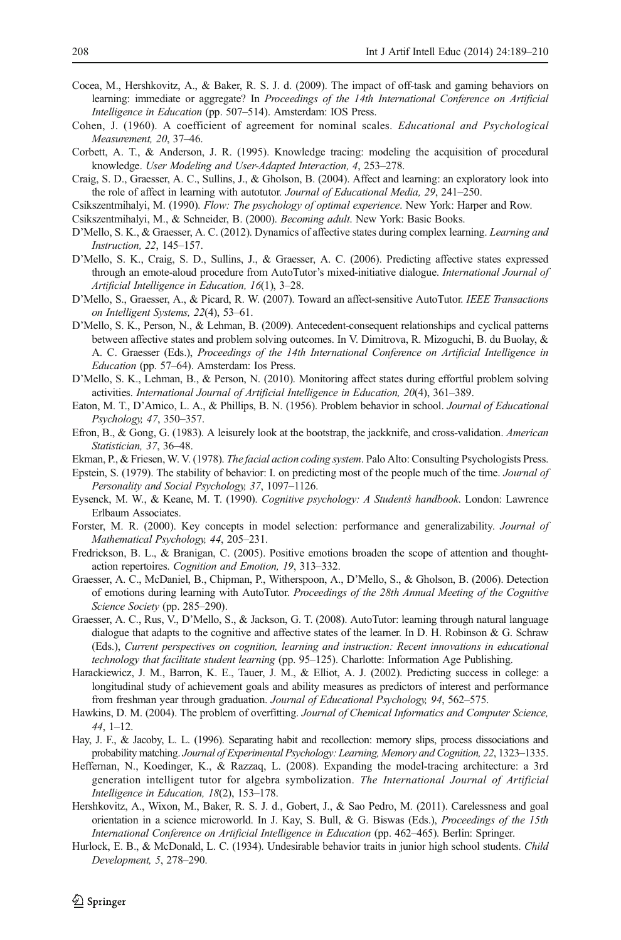- <span id="page-19-0"></span>Cocea, M., Hershkovitz, A., & Baker, R. S. J. d. (2009). The impact of off-task and gaming behaviors on learning: immediate or aggregate? In Proceedings of the 14th International Conference on Artificial Intelligence in Education (pp. 507–514). Amsterdam: IOS Press.
- Cohen, J. (1960). A coefficient of agreement for nominal scales. Educational and Psychological Measurement, 20, 37–46.
- Corbett, A. T., & Anderson, J. R. (1995). Knowledge tracing: modeling the acquisition of procedural knowledge. User Modeling and User-Adapted Interaction, 4, 253–278.
- Craig, S. D., Graesser, A. C., Sullins, J., & Gholson, B. (2004). Affect and learning: an exploratory look into the role of affect in learning with autotutor. Journal of Educational Media, 29, 241–250.
- Csikszentmihalyi, M. (1990). Flow: The psychology of optimal experience. New York: Harper and Row.
- Csikszentmihalyi, M., & Schneider, B. (2000). Becoming adult. New York: Basic Books.
- D'Mello, S. K., & Graesser, A. C. (2012). Dynamics of affective states during complex learning. Learning and Instruction, 22, 145–157.
- D'Mello, S. K., Craig, S. D., Sullins, J., & Graesser, A. C. (2006). Predicting affective states expressed through an emote-aloud procedure from AutoTutor's mixed-initiative dialogue. International Journal of Artificial Intelligence in Education, 16(1), 3–28.
- D'Mello, S., Graesser, A., & Picard, R. W. (2007). Toward an affect-sensitive AutoTutor. IEEE Transactions on Intelligent Systems, 22(4), 53–61.
- D'Mello, S. K., Person, N., & Lehman, B. (2009). Antecedent-consequent relationships and cyclical patterns between affective states and problem solving outcomes. In V. Dimitrova, R. Mizoguchi, B. du Buolay, & A. C. Graesser (Eds.), Proceedings of the 14th International Conference on Artificial Intelligence in Education (pp. 57–64). Amsterdam: Ios Press.
- D'Mello, S. K., Lehman, B., & Person, N. (2010). Monitoring affect states during effortful problem solving activities. International Journal of Artificial Intelligence in Education, 20(4), 361–389.
- Eaton, M. T., D'Amico, L. A., & Phillips, B. N. (1956). Problem behavior in school. Journal of Educational Psychology, 47, 350–357.
- Efron, B., & Gong, G. (1983). A leisurely look at the bootstrap, the jackknife, and cross-validation. American Statistician, 37, 36–48.
- Ekman, P., & Friesen, W. V. (1978). The facial action coding system. Palo Alto: Consulting Psychologists Press.
- Epstein, S. (1979). The stability of behavior: I. on predicting most of the people much of the time. Journal of Personality and Social Psychology, 37, 1097–1126.
- Eysenck, M. W., & Keane, M. T. (1990). Cognitive psychology: A Students handbook. London: Lawrence Erlbaum Associates.
- Forster, M. R. (2000). Key concepts in model selection: performance and generalizability. Journal of Mathematical Psychology, 44, 205–231.
- Fredrickson, B. L., & Branigan, C. (2005). Positive emotions broaden the scope of attention and thoughtaction repertoires. Cognition and Emotion, 19, 313–332.
- Graesser, A. C., McDaniel, B., Chipman, P., Witherspoon, A., D'Mello, S., & Gholson, B. (2006). Detection of emotions during learning with AutoTutor. Proceedings of the 28th Annual Meeting of the Cognitive Science Society (pp. 285–290).
- Graesser, A. C., Rus, V., D'Mello, S., & Jackson, G. T. (2008). AutoTutor: learning through natural language dialogue that adapts to the cognitive and affective states of the learner. In D. H. Robinson & G. Schraw (Eds.), Current perspectives on cognition, learning and instruction: Recent innovations in educational technology that facilitate student learning (pp. 95–125). Charlotte: Information Age Publishing.
- Harackiewicz, J. M., Barron, K. E., Tauer, J. M., & Elliot, A. J. (2002). Predicting success in college: a longitudinal study of achievement goals and ability measures as predictors of interest and performance from freshman year through graduation. Journal of Educational Psychology, 94, 562–575.
- Hawkins, D. M. (2004). The problem of overfitting. Journal of Chemical Informatics and Computer Science, 44, 1–12.
- Hay, J. F., & Jacoby, L. L. (1996). Separating habit and recollection: memory slips, process dissociations and probability matching. Journal of Experimental Psychology: Learning, Memory and Cognition, 22, 1323–1335.
- Heffernan, N., Koedinger, K., & Razzaq, L. (2008). Expanding the model-tracing architecture: a 3rd generation intelligent tutor for algebra symbolization. The International Journal of Artificial Intelligence in Education, 18(2), 153–178.
- Hershkovitz, A., Wixon, M., Baker, R. S. J. d., Gobert, J., & Sao Pedro, M. (2011). Carelessness and goal orientation in a science microworld. In J. Kay, S. Bull, & G. Biswas (Eds.), *Proceedings of the 15th* International Conference on Artificial Intelligence in Education (pp. 462–465). Berlin: Springer.
- Hurlock, E. B., & McDonald, L. C. (1934). Undesirable behavior traits in junior high school students. Child Development, 5, 278–290.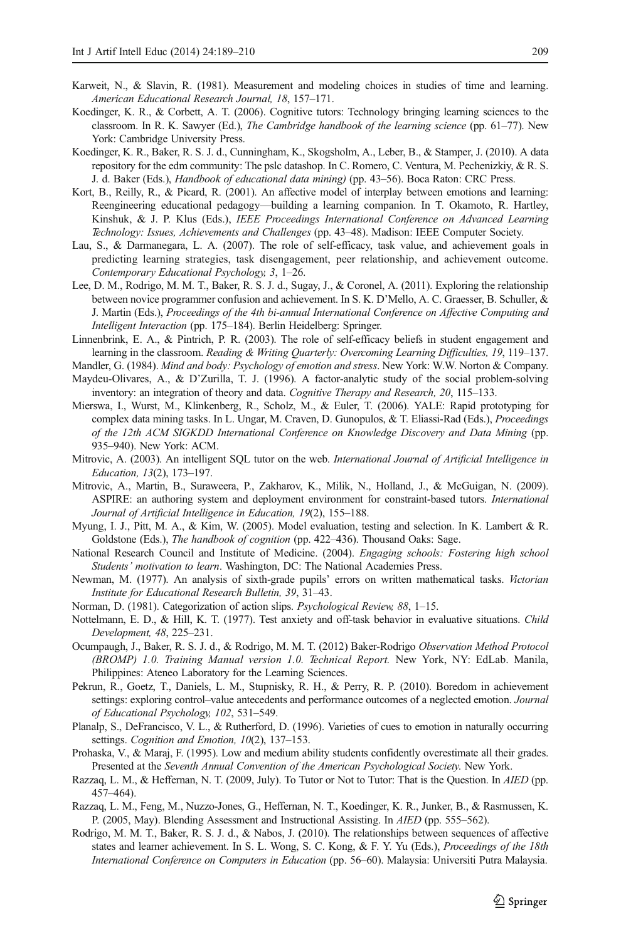- <span id="page-20-0"></span>Karweit, N., & Slavin, R. (1981). Measurement and modeling choices in studies of time and learning. American Educational Research Journal, 18, 157–171.
- Koedinger, K. R., & Corbett, A. T. (2006). Cognitive tutors: Technology bringing learning sciences to the classroom. In R. K. Sawyer (Ed.), *The Cambridge handbook of the learning science* (pp. 61–77). New York: Cambridge University Press.
- Koedinger, K. R., Baker, R. S. J. d., Cunningham, K., Skogsholm, A., Leber, B., & Stamper, J. (2010). A data repository for the edm community: The pslc datashop. In C. Romero, C. Ventura, M. Pechenizkiy, & R. S. J. d. Baker (Eds.), Handbook of educational data mining) (pp. 43–56). Boca Raton: CRC Press.
- Kort, B., Reilly, R., & Picard, R. (2001). An affective model of interplay between emotions and learning: Reengineering educational pedagogy—building a learning companion. In T. Okamoto, R. Hartley, Kinshuk, & J. P. Klus (Eds.), IEEE Proceedings International Conference on Advanced Learning Technology: Issues, Achievements and Challenges (pp. 43–48). Madison: IEEE Computer Society.
- Lau, S., & Darmanegara, L. A. (2007). The role of self-efficacy, task value, and achievement goals in predicting learning strategies, task disengagement, peer relationship, and achievement outcome. Contemporary Educational Psychology, 3, 1–26.
- Lee, D. M., Rodrigo, M. M. T., Baker, R. S. J. d., Sugay, J., & Coronel, A. (2011). Exploring the relationship between novice programmer confusion and achievement. In S. K. D'Mello, A. C. Graesser, B. Schuller, & J. Martin (Eds.), Proceedings of the 4th bi-annual International Conference on Affective Computing and Intelligent Interaction (pp. 175–184). Berlin Heidelberg: Springer.

Linnenbrink, E. A., & Pintrich, P. R. (2003). The role of self-efficacy beliefs in student engagement and learning in the classroom. Reading & Writing Quarterly: Overcoming Learning Difficulties, 19, 119–137.

Mandler, G. (1984). Mind and body: Psychology of emotion and stress. New York: W.W. Norton & Company.

- Maydeu-Olivares, A., & D'Zurilla, T. J. (1996). A factor-analytic study of the social problem-solving inventory: an integration of theory and data. Cognitive Therapy and Research, 20, 115–133.
- Mierswa, I., Wurst, M., Klinkenberg, R., Scholz, M., & Euler, T. (2006). YALE: Rapid prototyping for complex data mining tasks. In L. Ungar, M. Craven, D. Gunopulos, & T. Eliassi-Rad (Eds.), Proceedings of the 12th ACM SIGKDD International Conference on Knowledge Discovery and Data Mining (pp. 935–940). New York: ACM.
- Mitrovic, A. (2003). An intelligent SQL tutor on the web. International Journal of Artificial Intelligence in Education, 13(2), 173–197.
- Mitrovic, A., Martin, B., Suraweera, P., Zakharov, K., Milik, N., Holland, J., & McGuigan, N. (2009). ASPIRE: an authoring system and deployment environment for constraint-based tutors. International Journal of Artificial Intelligence in Education, 19(2), 155–188.
- Myung, I. J., Pitt, M. A., & Kim, W. (2005). Model evaluation, testing and selection. In K. Lambert & R. Goldstone (Eds.), The handbook of cognition (pp. 422–436). Thousand Oaks: Sage.
- National Research Council and Institute of Medicine. (2004). Engaging schools: Fostering high school Students' motivation to learn. Washington, DC: The National Academies Press.
- Newman, M. (1977). An analysis of sixth-grade pupils' errors on written mathematical tasks. Victorian Institute for Educational Research Bulletin, 39, 31–43.
- Norman, D. (1981). Categorization of action slips. *Psychological Review*, 88, 1–15.
- Nottelmann, E. D., & Hill, K. T. (1977). Test anxiety and off-task behavior in evaluative situations. Child Development, 48, 225–231.
- Ocumpaugh, J., Baker, R. S. J. d., & Rodrigo, M. M. T. (2012) Baker-Rodrigo Observation Method Protocol (BROMP) 1.0. Training Manual version 1.0. Technical Report. New York, NY: EdLab. Manila, Philippines: Ateneo Laboratory for the Learning Sciences.
- Pekrun, R., Goetz, T., Daniels, L. M., Stupnisky, R. H., & Perry, R. P. (2010). Boredom in achievement settings: exploring control–value antecedents and performance outcomes of a neglected emotion. Journal of Educational Psychology, 102, 531–549.
- Planalp, S., DeFrancisco, V. L., & Rutherford, D. (1996). Varieties of cues to emotion in naturally occurring settings. Cognition and Emotion, 10(2), 137-153.
- Prohaska, V., & Maraj, F. (1995). Low and medium ability students confidently overestimate all their grades. Presented at the Seventh Annual Convention of the American Psychological Society. New York.
- Razzaq, L. M., & Heffernan, N. T. (2009, July). To Tutor or Not to Tutor: That is the Question. In AIED (pp. 457–464).
- Razzaq, L. M., Feng, M., Nuzzo-Jones, G., Heffernan, N. T., Koedinger, K. R., Junker, B., & Rasmussen, K. P. (2005, May). Blending Assessment and Instructional Assisting. In AIED (pp. 555–562).
- Rodrigo, M. M. T., Baker, R. S. J. d., & Nabos, J. (2010). The relationships between sequences of affective states and learner achievement. In S. L. Wong, S. C. Kong, & F. Y. Yu (Eds.), Proceedings of the 18th International Conference on Computers in Education (pp. 56–60). Malaysia: Universiti Putra Malaysia.